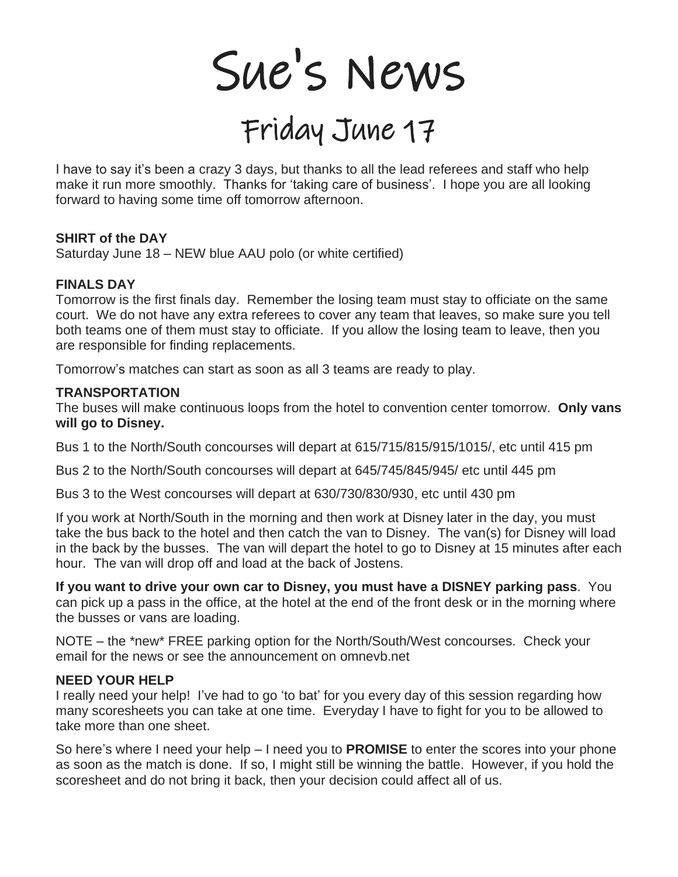Sue's News

# Friday June 17

I have to say it's been a crazy 3 days, but thanks to all the lead referees and staff who help make it run more smoothly. Thanks for 'taking care of business'. I hope you are all looking forward to having some time off tomorrow afternoon.

#### **SHIRT of the DAY**

Saturday June 18 – NEW blue AAU polo (or white certified)

#### **FINALS DAY**

Tomorrow is the first finals day. Remember the losing team must stay to officiate on the same court. We do not have any extra referees to cover any team that leaves, so make sure you tell both teams one of them must stay to officiate. If you allow the losing team to leave, then you are responsible for finding replacements.

Tomorrow's matches can start as soon as all 3 teams are ready to play.

#### **TRANSPORTATION**

The buses will make continuous loops from the hotel to convention center tomorrow. **Only vans will go to Disney.** 

Bus 1 to the North/South concourses will depart at 615/715/815/915/1015/, etc until 415 pm

Bus 2 to the North/South concourses will depart at 645/745/845/945/ etc until 445 pm

Bus 3 to the West concourses will depart at 630/730/830/930, etc until 430 pm

If you work at North/South in the morning and then work at Disney later in the day, you must take the bus back to the hotel and then catch the van to Disney. The van(s) for Disney will load in the back by the busses. The van will depart the hotel to go to Disney at 15 minutes after each hour. The van will drop off and load at the back of Jostens.

**If you want to drive your own car to Disney, you must have a DISNEY parking pass**. You can pick up a pass in the office, at the hotel at the end of the front desk or in the morning where the busses or vans are loading.

NOTE – the \*new\* FREE parking option for the North/South/West concourses. Check your email for the news or see the announcement on omnevb.net

#### **NEED YOUR HELP**

I really need your help! I've had to go 'to bat' for you every day of this session regarding how many scoresheets you can take at one time. Everyday I have to fight for you to be allowed to take more than one sheet.

So here's where I need your help – I need you to **PROMISE** to enter the scores into your phone as soon as the match is done. If so, I might still be winning the battle. However, if you hold the scoresheet and do not bring it back, then your decision could affect all of us.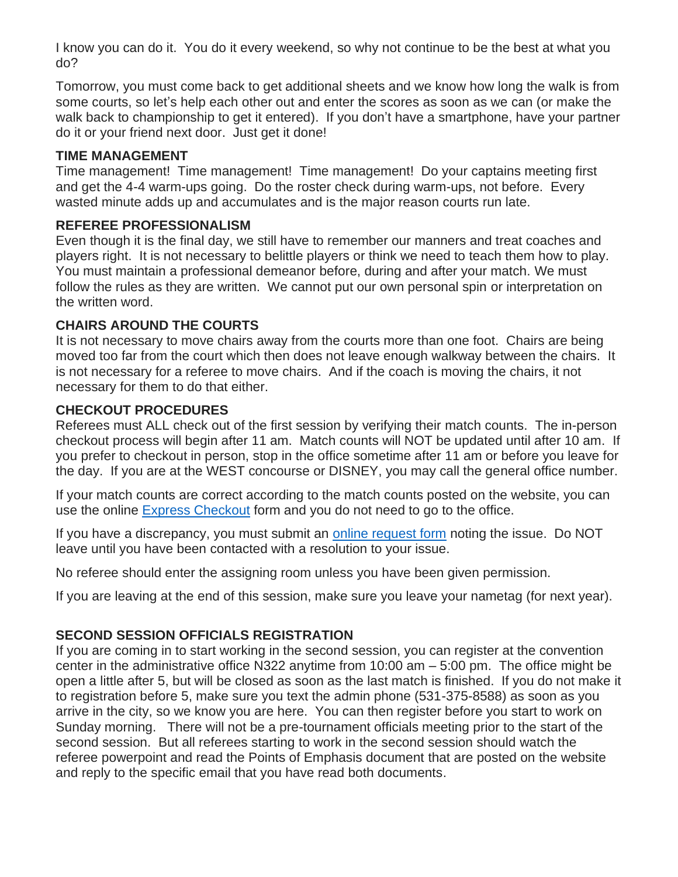I know you can do it. You do it every weekend, so why not continue to be the best at what you do?

Tomorrow, you must come back to get additional sheets and we know how long the walk is from some courts, so let's help each other out and enter the scores as soon as we can (or make the walk back to championship to get it entered). If you don't have a smartphone, have your partner do it or your friend next door. Just get it done!

### **TIME MANAGEMENT**

Time management! Time management! Time management! Do your captains meeting first and get the 4-4 warm-ups going. Do the roster check during warm-ups, not before. Every wasted minute adds up and accumulates and is the major reason courts run late.

### **REFEREE PROFESSIONALISM**

Even though it is the final day, we still have to remember our manners and treat coaches and players right. It is not necessary to belittle players or think we need to teach them how to play. You must maintain a professional demeanor before, during and after your match. We must follow the rules as they are written. We cannot put our own personal spin or interpretation on the written word.

# **CHAIRS AROUND THE COURTS**

It is not necessary to move chairs away from the courts more than one foot. Chairs are being moved too far from the court which then does not leave enough walkway between the chairs. It is not necessary for a referee to move chairs. And if the coach is moving the chairs, it not necessary for them to do that either.

# **CHECKOUT PROCEDURES**

Referees must ALL check out of the first session by verifying their match counts. The in-person checkout process will begin after 11 am. Match counts will NOT be updated until after 10 am. If you prefer to checkout in person, stop in the office sometime after 11 am or before you leave for the day. If you are at the WEST concourse or DISNEY, you may call the general office number.

If your match counts are correct according to the match counts posted on the website, you can use the online [Express Checkout](https://app.smartsheet.com/b/form/ba164bfdcb2a45bd8a67750e5065fe4f) form and you do not need to go to the office.

If you have a discrepancy, you must submit an [online request form](https://app.smartsheet.com/b/form/4c21d9af64a14f88b3405b22b673a492) noting the issue. Do NOT leave until you have been contacted with a resolution to your issue.

No referee should enter the assigning room unless you have been given permission.

If you are leaving at the end of this session, make sure you leave your nametag (for next year).

# **SECOND SESSION OFFICIALS REGISTRATION**

If you are coming in to start working in the second session, you can register at the convention center in the administrative office N322 anytime from 10:00 am – 5:00 pm. The office might be open a little after 5, but will be closed as soon as the last match is finished. If you do not make it to registration before 5, make sure you text the admin phone (531-375-8588) as soon as you arrive in the city, so we know you are here. You can then register before you start to work on Sunday morning. There will not be a pre-tournament officials meeting prior to the start of the second session. But all referees starting to work in the second session should watch the referee powerpoint and read the Points of Emphasis document that are posted on the website and reply to the specific email that you have read both documents.